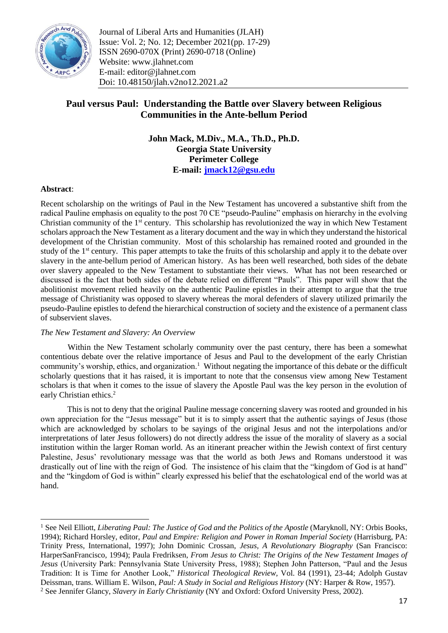

Journal of Liberal Arts and Humanities (JLAH) Issue: Vol. 2; No. 12; December 2021(pp. 17-29) ISSN 2690-070X (Print) 2690-0718 (Online) Website: www.jlahnet.com E-mail: editor@jlahnet.com Doi: 10.48150/jlah.v2no12.2021.a2

## **Paul versus Paul: Understanding the Battle over Slavery between Religious Communities in the Ante-bellum Period**

**John Mack, M.Div., M.A., Th.D., Ph.D. Georgia State University Perimeter College E-mail: [jmack12@gsu.edu](mailto:jmack12@gsu.edu)**

## **Abstract**:

**.** 

Recent scholarship on the writings of Paul in the New Testament has uncovered a substantive shift from the radical Pauline emphasis on equality to the post 70 CE "pseudo-Pauline" emphasis on hierarchy in the evolving Christian community of the 1st century. This scholarship has revolutionized the way in which New Testament scholars approach the New Testament as a literary document and the way in which they understand the historical development of the Christian community. Most of this scholarship has remained rooted and grounded in the study of the 1<sup>st</sup> century. This paper attempts to take the fruits of this scholarship and apply it to the debate over slavery in the ante-bellum period of American history. As has been well researched, both sides of the debate over slavery appealed to the New Testament to substantiate their views. What has not been researched or discussed is the fact that both sides of the debate relied on different "Pauls". This paper will show that the abolitionist movement relied heavily on the authentic Pauline epistles in their attempt to argue that the true message of Christianity was opposed to slavery whereas the moral defenders of slavery utilized primarily the pseudo-Pauline epistles to defend the hierarchical construction of society and the existence of a permanent class of subservient slaves.

## *The New Testament and Slavery: An Overview*

Within the New Testament scholarly community over the past century, there has been a somewhat contentious debate over the relative importance of Jesus and Paul to the development of the early Christian community's worship, ethics, and organization.<sup>1</sup> Without negating the importance of this debate or the difficult scholarly questions that it has raised, it is important to note that the consensus view among New Testament scholars is that when it comes to the issue of slavery the Apostle Paul was the key person in the evolution of early Christian ethics.<sup>2</sup>

This is not to deny that the original Pauline message concerning slavery was rooted and grounded in his own appreciation for the "Jesus message" but it is to simply assert that the authentic sayings of Jesus (those which are acknowledged by scholars to be sayings of the original Jesus and not the interpolations and/or interpretations of later Jesus followers) do not directly address the issue of the morality of slavery as a social institution within the larger Roman world. As an itinerant preacher within the Jewish context of first century Palestine, Jesus' revolutionary message was that the world as both Jews and Romans understood it was drastically out of line with the reign of God. The insistence of his claim that the "kingdom of God is at hand" and the "kingdom of God is within" clearly expressed his belief that the eschatological end of the world was at hand.

<sup>&</sup>lt;sup>1</sup> See Neil Elliott, *Liberating Paul: The Justice of God and the Politics of the Apostle* (Maryknoll, NY: Orbis Books, 1994); Richard Horsley, editor, *Paul and Empire: Religion and Power in Roman Imperial Society* (Harrisburg, PA: Trinity Press, International, 1997); John Dominic Crossan, *Jesus, A Revolutionary Biography* (San Francisco: HarperSanFrancisco, 1994); Paula Fredriksen, *From Jesus to Christ: The Origins of the New Testament Images of Jesus* (University Park: Pennsylvania State University Press, 1988); Stephen John Patterson, "Paul and the Jesus Tradition: It is Time for Another Look," *Historical Theological Review,* Vol. 84 (1991), 23-44; Adolph Gustav Deissman, trans. William E. Wilson, *Paul: A Study in Social and Religious History* (NY: Harper & Row, 1957). <sup>2</sup> See Jennifer Glancy, *Slavery in Early Christianity* (NY and Oxford: Oxford University Press, 2002).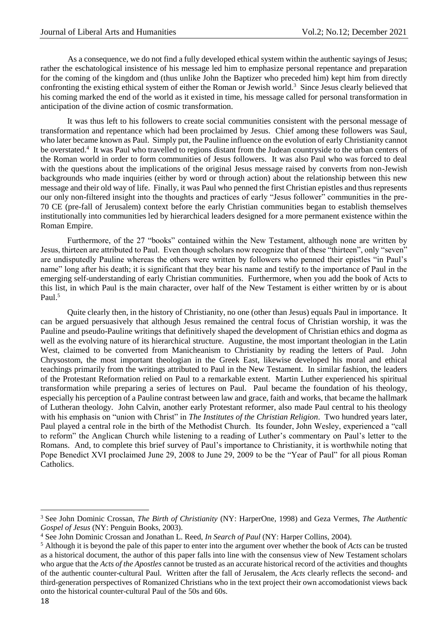As a consequence, we do not find a fully developed ethical system within the authentic sayings of Jesus; rather the eschatological insistence of his message led him to emphasize personal repentance and preparation for the coming of the kingdom and (thus unlike John the Baptizer who preceded him) kept him from directly confronting the existing ethical system of either the Roman or Jewish world.<sup>3</sup> Since Jesus clearly believed that his coming marked the end of the world as it existed in time, his message called for personal transformation in anticipation of the divine action of cosmic transformation.

It was thus left to his followers to create social communities consistent with the personal message of transformation and repentance which had been proclaimed by Jesus. Chief among these followers was Saul, who later became known as Paul. Simply put, the Pauline influence on the evolution of early Christianity cannot be overstated.<sup>4</sup> It was Paul who travelled to regions distant from the Judean countryside to the urban centers of the Roman world in order to form communities of Jesus followers. It was also Paul who was forced to deal with the questions about the implications of the original Jesus message raised by converts from non-Jewish backgrounds who made inquiries (either by word or through action) about the relationship between this new message and their old way of life. Finally, it was Paul who penned the first Christian epistles and thus represents our only non-filtered insight into the thoughts and practices of early "Jesus follower" communities in the pre-70 CE (pre-fall of Jerusalem) context before the early Christian communities began to establish themselves institutionally into communities led by hierarchical leaders designed for a more permanent existence within the Roman Empire.

Furthermore, of the 27 "books" contained within the New Testament, although none are written by Jesus, thirteen are attributed to Paul. Even though scholars now recognize that of these "thirteen", only "seven" are undisputedly Pauline whereas the others were written by followers who penned their epistles "in Paul's name" long after his death; it is significant that they bear his name and testify to the importance of Paul in the emerging self-understanding of early Christian communities. Furthermore, when you add the book of Acts to this list, in which Paul is the main character, over half of the New Testament is either written by or is about Paul.<sup>5</sup>

Quite clearly then, in the history of Christianity, no one (other than Jesus) equals Paul in importance. It can be argued persuasively that although Jesus remained the central focus of Christian worship, it was the Pauline and pseudo-Pauline writings that definitively shaped the development of Christian ethics and dogma as well as the evolving nature of its hierarchical structure. Augustine, the most important theologian in the Latin West, claimed to be converted from Manicheanism to Christianity by reading the letters of Paul. John Chrysostom, the most important theologian in the Greek East, likewise developed his moral and ethical teachings primarily from the writings attributed to Paul in the New Testament. In similar fashion, the leaders of the Protestant Reformation relied on Paul to a remarkable extent. Martin Luther experienced his spiritual transformation while preparing a series of lectures on Paul. Paul became the foundation of his theology, especially his perception of a Pauline contrast between law and grace, faith and works, that became the hallmark of Lutheran theology. John Calvin, another early Protestant reformer, also made Paul central to his theology with his emphasis on "union with Christ" in *The Institutes of the Christian Religion*. Two hundred years later, Paul played a central role in the birth of the Methodist Church. Its founder, John Wesley, experienced a "call to reform" the Anglican Church while listening to a reading of Luther's commentary on Paul's letter to the Romans. And, to complete this brief survey of Paul's importance to Christianity, it is worthwhile noting that Pope Benedict XVI proclaimed June 29, 2008 to June 29, 2009 to be the "Year of Paul" for all pious Roman Catholics.

 $\overline{a}$ 

<sup>3</sup> See John Dominic Crossan, *The Birth of Christianity* (NY: HarperOne, 1998) and Geza Vermes, *The Authentic Gospel of Jesus* (NY: Penguin Books, 2003).

<sup>4</sup> See John Dominic Crossan and Jonathan L. Reed, *In Search of Paul* (NY: Harper Collins, 2004).

<sup>5</sup> Although it is beyond the pale of this paper to enter into the argument over whether the book of *Acts* can be trusted as a historical document, the author of this paper falls into line with the consensus view of New Testament scholars who argue that the *Acts of the Apostles* cannot be trusted as an accurate historical record of the activities and thoughts of the authentic counter-cultural Paul. Written after the fall of Jerusalem, the *Acts* clearly reflects the second- and third-generation perspectives of Romanized Christians who in the text project their own accomodationist views back onto the historical counter-cultural Paul of the 50s and 60s.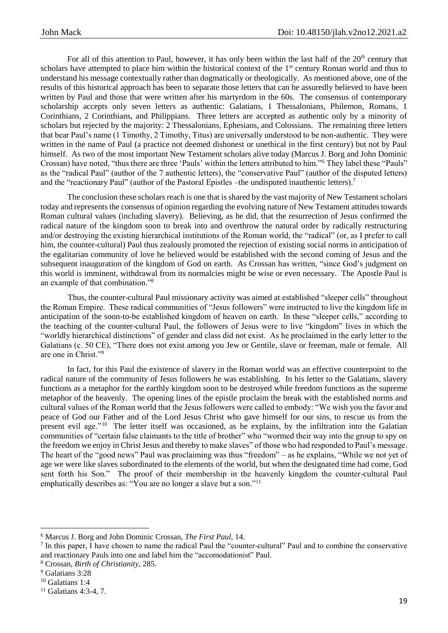For all of this attention to Paul, however, it has only been within the last half of the  $20<sup>th</sup>$  century that scholars have attempted to place him within the historical context of the 1<sup>st</sup> century Roman world and thus to understand his message contextually rather than dogmatically or theologically. As mentioned above, one of the results of this historical approach has been to separate those letters that can be assuredly believed to have been written by Paul and those that were written after his martyrdom in the 60s. The consensus of contemporary scholarship accepts only seven letters as authentic: Galatians, 1 Thessalonians, Philemon, Romans, 1 Corinthians, 2 Corinthians, and Philippians. Three letters are accepted as authentic only by a minority of scholars but rejected by the majority: 2 Thessalonians, Ephesians, and Colossians. The remaining three letters that bear Paul's name (1 Timothy, 2 Timothy, Titus) are universally understood to be non-authentic. They were written in the name of Paul (a practice not deemed dishonest or unethical in the first century) but not by Paul himself. As two of the most important New Testament scholars alive today (Marcus J. Borg and John Dominic Crossan) have noted, "thus there are three 'Pauls' within the letters attributed to him."<sup>6</sup> They label these "Pauls" as the "radical Paul" (author of the 7 authentic letters), the "conservative Paul" (author of the disputed letters) and the "reactionary Paul" (author of the Pastoral Epistles –the undisputed inauthentic letters).<sup>7</sup>

The conclusion these scholars reach is one that is shared by the vast majority of New Testament scholars today and represents the consensus of opinion regarding the evolving nature of New Testament attitudes towards Roman cultural values (including slavery). Believing, as he did, that the resurrection of Jesus confirmed the radical nature of the kingdom soon to break into and overthrow the natural order by radically restructuring and/or destroying the existing hierarchical institutions of the Roman world, the "radical" (or, as I prefer to call him, the counter-cultural) Paul thus zealously promoted the rejection of existing social norms in anticipation of the egalitarian community of love he believed would be established with the second coming of Jesus and the subsequent inauguration of the kingdom of God on earth. As Crossan has written, "since God's judgment on this world is imminent, withdrawal from its normalcies might be wise or even necessary. The Apostle Paul is an example of that combination."<sup>8</sup>

Thus, the counter-cultural Paul missionary activity was aimed at established "sleeper cells" throughout the Roman Empire. These radical communities of "Jesus followers" were instructed to live the kingdom life in anticipation of the soon-to-be established kingdom of heaven on earth. In these "sleeper cells," according to the teaching of the counter-cultural Paul, the followers of Jesus were to live "kingdom" lives in which the "worldly hierarchical distinctions" of gender and class did not exist. As he proclaimed in the early letter to the Galatians (c. 50 CE), "There does not exist among you Jew or Gentile, slave or freeman, male or female. All are one in Christ."<sup>9</sup>

In fact, for this Paul the existence of slavery in the Roman world was an effective counterpoint to the radical nature of the community of Jesus followers he was establishing. In his letter to the Galatians, slavery functions as a metaphor for the earthly kingdom soon to be destroyed while freedom functions as the supreme metaphor of the heavenly. The opening lines of the epistle proclaim the break with the established norms and cultural values of the Roman world that the Jesus followers were called to embody: "We wish you the favor and peace of God our Father and of the Lord Jesus Christ who gave himself for our sins, to rescue us from the present evil age."<sup>10</sup> The letter itself was occasioned, as he explains, by the infiltration into the Galatian communities of "certain false claimants to the title of brother" who "wormed their way into the group to spy on the freedom we enjoy in Christ Jesus and thereby to make slaves" of those who had responded to Paul's message. The heart of the "good news" Paul was proclaiming was thus "freedom" – as he explains, "While we not yet of age we were like slaves subordinated to the elements of the world, but when the designated time had come, God sent forth his Son." The proof of their membership in the heavenly kingdom the counter-cultural Paul emphatically describes as: "You are no longer a slave but a son."<sup>11</sup>

<sup>6</sup> Marcus J. Borg and John Dominic Crossan, *The First Paul*, 14.

<sup>&</sup>lt;sup>7</sup> In this paper, I have chosen to name the radical Paul the "counter-cultural" Paul and to combine the conservative and reactionary Pauls into one and label him the "accomodationist" Paul.

<sup>8</sup> Crossan, *Birth of Christianity*, 285.

<sup>9</sup> Galatians 3:28

<sup>&</sup>lt;sup>10</sup> Galatians 1:4

<sup>11</sup> Galatians 4:3-4, 7.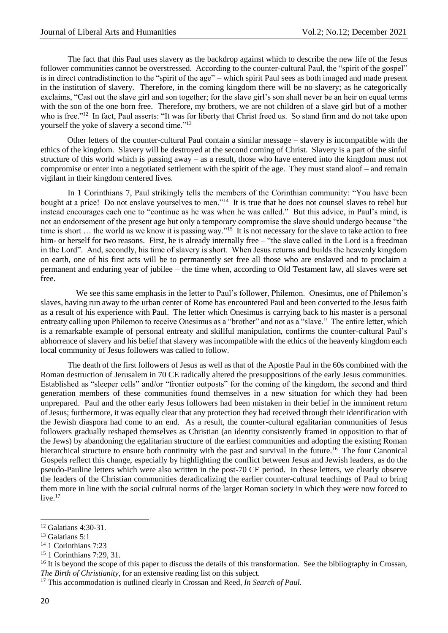The fact that this Paul uses slavery as the backdrop against which to describe the new life of the Jesus follower communities cannot be overstressed. According to the counter-cultural Paul, the "spirit of the gospel" is in direct contradistinction to the "spirit of the age" – which spirit Paul sees as both imaged and made present in the institution of slavery. Therefore, in the coming kingdom there will be no slavery; as he categorically exclaims, "Cast out the slave girl and son together; for the slave girl's son shall never be an heir on equal terms with the son of the one born free. Therefore, my brothers, we are not children of a slave girl but of a mother who is free."<sup>12</sup> In fact, Paul asserts: "It was for liberty that Christ freed us. So stand firm and do not take upon yourself the yoke of slavery a second time."<sup>13</sup>

Other letters of the counter-cultural Paul contain a similar message – slavery is incompatible with the ethics of the kingdom. Slavery will be destroyed at the second coming of Christ. Slavery is a part of the sinful structure of this world which is passing away – as a result, those who have entered into the kingdom must not compromise or enter into a negotiated settlement with the spirit of the age. They must stand aloof – and remain vigilant in their kingdom centered lives.

In 1 Corinthians 7, Paul strikingly tells the members of the Corinthian community: "You have been bought at a price! Do not enslave yourselves to men."<sup>14</sup> It is true that he does not counsel slaves to rebel but instead encourages each one to "continue as he was when he was called." But this advice, in Paul's mind, is not an endorsement of the present age but only a temporary compromise the slave should undergo because "the time is short ... the world as we know it is passing way."<sup>15</sup> It is not necessary for the slave to take action to free him- or herself for two reasons. First, he is already internally free – "the slave called in the Lord is a freedman in the Lord". And, secondly, his time of slavery is short. When Jesus returns and builds the heavenly kingdom on earth, one of his first acts will be to permanently set free all those who are enslaved and to proclaim a permanent and enduring year of jubilee – the time when, according to Old Testament law, all slaves were set free.

 We see this same emphasis in the letter to Paul's follower, Philemon. Onesimus, one of Philemon's slaves, having run away to the urban center of Rome has encountered Paul and been converted to the Jesus faith as a result of his experience with Paul. The letter which Onesimus is carrying back to his master is a personal entreaty calling upon Philemon to receive Onesimus as a "brother" and not as a "slave." The entire letter, which is a remarkable example of personal entreaty and skillful manipulation, confirms the counter-cultural Paul's abhorrence of slavery and his belief that slavery was incompatible with the ethics of the heavenly kingdom each local community of Jesus followers was called to follow.

The death of the first followers of Jesus as well as that of the Apostle Paul in the 60s combined with the Roman destruction of Jerusalem in 70 CE radically altered the presuppositions of the early Jesus communities. Established as "sleeper cells" and/or "frontier outposts" for the coming of the kingdom, the second and third generation members of these communities found themselves in a new situation for which they had been unprepared. Paul and the other early Jesus followers had been mistaken in their belief in the imminent return of Jesus; furthermore, it was equally clear that any protection they had received through their identification with the Jewish diaspora had come to an end. As a result, the counter-cultural egalitarian communities of Jesus followers gradually reshaped themselves as Christian (an identity consistently framed in opposition to that of the Jews) by abandoning the egalitarian structure of the earliest communities and adopting the existing Roman hierarchical structure to ensure both continuity with the past and survival in the future.<sup>16</sup> The four Canonical Gospels reflect this change, especially by highlighting the conflict between Jesus and Jewish leaders, as do the pseudo-Pauline letters which were also written in the post-70 CE period. In these letters, we clearly observe the leaders of the Christian communities deradicalizing the earlier counter-cultural teachings of Paul to bring them more in line with the social cultural norms of the larger Roman society in which they were now forced to live. $17$ 

<sup>12</sup> Galatians 4:30-31.

<sup>13</sup> Galatians 5:1

<sup>14</sup> 1 Corinthians 7:23

<sup>15</sup> 1 Corinthians 7:29, 31.

 $16$  It is beyond the scope of this paper to discuss the details of this transformation. See the bibliography in Crossan, *The Birth of Christianity*, for an extensive reading list on this subject.

<sup>17</sup> This accommodation is outlined clearly in Crossan and Reed, *In Search of Paul*.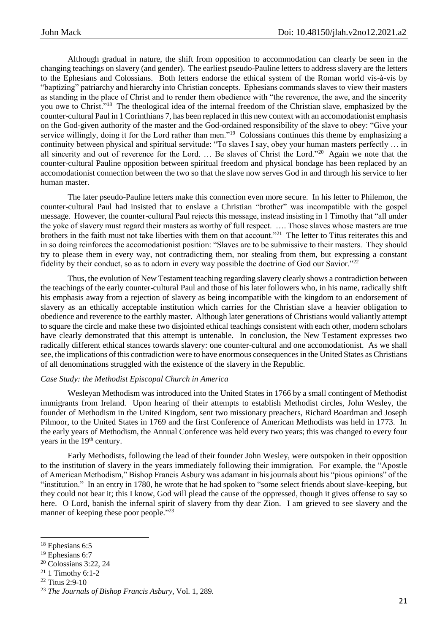Although gradual in nature, the shift from opposition to accommodation can clearly be seen in the changing teachings on slavery (and gender). The earliest pseudo-Pauline letters to address slavery are the letters to the Ephesians and Colossians. Both letters endorse the ethical system of the Roman world vis-à-vis by "baptizing" patriarchy and hierarchy into Christian concepts. Ephesians commands slaves to view their masters as standing in the place of Christ and to render them obedience with "the reverence, the awe, and the sincerity you owe to Christ."<sup>18</sup> The theological idea of the internal freedom of the Christian slave, emphasized by the counter-cultural Paul in 1 Corinthians 7, has been replaced in this new context with an accomodationist emphasis on the God-given authority of the master and the God-ordained responsibility of the slave to obey: "Give your service willingly, doing it for the Lord rather than men."<sup>19</sup> Colossians continues this theme by emphasizing a continuity between physical and spiritual servitude: "To slaves I say, obey your human masters perfectly … in all sincerity and out of reverence for the Lord. ... Be slaves of Christ the Lord."<sup>20</sup> Again we note that the counter-cultural Pauline opposition between spiritual freedom and physical bondage has been replaced by an accomodationist connection between the two so that the slave now serves God in and through his service to her human master.

The later pseudo-Pauline letters make this connection even more secure. In his letter to Philemon, the counter-cultural Paul had insisted that to enslave a Christian "brother" was incompatible with the gospel message. However, the counter-cultural Paul rejects this message, instead insisting in 1 Timothy that "all under the yoke of slavery must regard their masters as worthy of full respect. …. Those slaves whose masters are true brothers in the faith must not take liberties with them on that account."<sup>21</sup> The letter to Titus reiterates this and in so doing reinforces the accomodationist position: "Slaves are to be submissive to their masters. They should try to please them in every way, not contradicting them, nor stealing from them, but expressing a constant fidelity by their conduct, so as to adorn in every way possible the doctrine of God our Savior."<sup>22</sup>

Thus, the evolution of New Testament teaching regarding slavery clearly shows a contradiction between the teachings of the early counter-cultural Paul and those of his later followers who, in his name, radically shift his emphasis away from a rejection of slavery as being incompatible with the kingdom to an endorsement of slavery as an ethically acceptable institution which carries for the Christian slave a heavier obligation to obedience and reverence to the earthly master. Although later generations of Christians would valiantly attempt to square the circle and make these two disjointed ethical teachings consistent with each other, modern scholars have clearly demonstrated that this attempt is untenable. In conclusion, the New Testament expresses two radically different ethical stances towards slavery: one counter-cultural and one accomodationist. As we shall see, the implications of this contradiction were to have enormous consequences in the United States as Christians of all denominations struggled with the existence of the slavery in the Republic.

## *Case Study: the Methodist Episcopal Church in America*

Wesleyan Methodism was introduced into the United States in 1766 by a small contingent of Methodist immigrants from Ireland. Upon hearing of their attempts to establish Methodist circles, John Wesley, the founder of Methodism in the United Kingdom, sent two missionary preachers, Richard Boardman and Joseph Pilmoor, to the United States in 1769 and the first Conference of American Methodists was held in 1773. In the early years of Methodism, the Annual Conference was held every two years; this was changed to every four years in the 19<sup>th</sup> century.

Early Methodists, following the lead of their founder John Wesley, were outspoken in their opposition to the institution of slavery in the years immediately following their immigration. For example, the "Apostle of American Methodism," Bishop Francis Asbury was adamant in his journals about his "pious opinions" of the "institution." In an entry in 1780, he wrote that he had spoken to "some select friends about slave-keeping, but they could not bear it; this I know, God will plead the cause of the oppressed, though it gives offense to say so here. O Lord, banish the infernal spirit of slavery from thy dear Zion. I am grieved to see slavery and the manner of keeping these poor people."23

1

<sup>20</sup> Colossians 3:22, 24

<sup>22</sup> Titus 2:9-10

<sup>18</sup> Ephesians 6:5

<sup>&</sup>lt;sup>19</sup> Ephesians 6:7

 $21$  1 Timothy 6:1-2

<sup>23</sup> *The Journals of Bishop Francis Asbury*, Vol. 1, 289.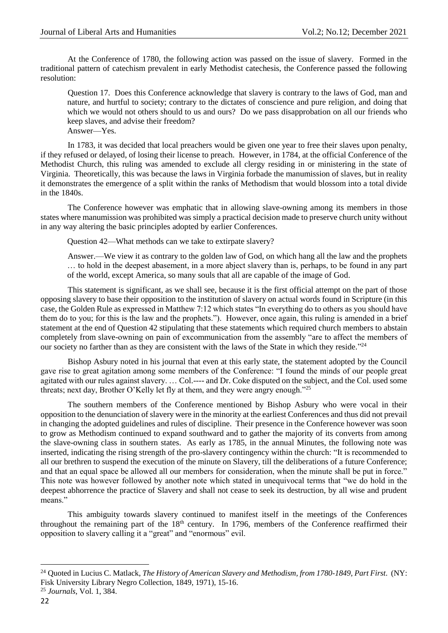At the Conference of 1780, the following action was passed on the issue of slavery. Formed in the traditional pattern of catechism prevalent in early Methodist catechesis, the Conference passed the following resolution:

Question 17. Does this Conference acknowledge that slavery is contrary to the laws of God, man and nature, and hurtful to society; contrary to the dictates of conscience and pure religion, and doing that which we would not others should to us and ours? Do we pass disapprobation on all our friends who keep slaves, and advise their freedom? Answer—Yes.

In 1783, it was decided that local preachers would be given one year to free their slaves upon penalty, if they refused or delayed, of losing their license to preach. However, in 1784, at the official Conference of the Methodist Church, this ruling was amended to exclude all clergy residing in or ministering in the state of Virginia. Theoretically, this was because the laws in Virginia forbade the manumission of slaves, but in reality it demonstrates the emergence of a split within the ranks of Methodism that would blossom into a total divide in the 1840s.

The Conference however was emphatic that in allowing slave-owning among its members in those states where manumission was prohibited was simply a practical decision made to preserve church unity without in any way altering the basic principles adopted by earlier Conferences.

Question 42—What methods can we take to extirpate slavery?

Answer.—We view it as contrary to the golden law of God, on which hang all the law and the prophets … to hold in the deepest abasement, in a more abject slavery than is, perhaps, to be found in any part of the world, except America, so many souls that all are capable of the image of God.

This statement is significant, as we shall see, because it is the first official attempt on the part of those opposing slavery to base their opposition to the institution of slavery on actual words found in Scripture (in this case, the Golden Rule as expressed in Matthew 7:12 which states "In everything do to others as you should have them do to you; for this is the law and the prophets."). However, once again, this ruling is amended in a brief statement at the end of Question 42 stipulating that these statements which required church members to abstain completely from slave-owning on pain of excommunication from the assembly "are to affect the members of our society no farther than as they are consistent with the laws of the State in which they reside."<sup>24</sup>

Bishop Asbury noted in his journal that even at this early state, the statement adopted by the Council gave rise to great agitation among some members of the Conference: "I found the minds of our people great agitated with our rules against slavery. … Col.---- and Dr. Coke disputed on the subject, and the Col. used some threats; next day, Brother O'Kelly let fly at them, and they were angry enough."<sup>25</sup>

The southern members of the Conference mentioned by Bishop Asbury who were vocal in their opposition to the denunciation of slavery were in the minority at the earliest Conferences and thus did not prevail in changing the adopted guidelines and rules of discipline. Their presence in the Conference however was soon to grow as Methodism continued to expand southward and to gather the majority of its converts from among the slave-owning class in southern states. As early as 1785, in the annual Minutes, the following note was inserted, indicating the rising strength of the pro-slavery contingency within the church: "It is recommended to all our brethren to suspend the execution of the minute on Slavery, till the deliberations of a future Conference; and that an equal space be allowed all our members for consideration, when the minute shall be put in force." This note was however followed by another note which stated in unequivocal terms that "we do hold in the deepest abhorrence the practice of Slavery and shall not cease to seek its destruction, by all wise and prudent means."

This ambiguity towards slavery continued to manifest itself in the meetings of the Conferences throughout the remaining part of the 18<sup>th</sup> century. In 1796, members of the Conference reaffirmed their opposition to slavery calling it a "great" and "enormous" evil.

<sup>&</sup>lt;sup>24</sup> Quoted in Lucius C. Matlack, *The History of American Slavery and Methodism, from 1780-1849, Part First.* (NY: Fisk University Library Negro Collection, 1849, 1971), 15-16.

<sup>25</sup> *Journals*, Vol. 1, 384.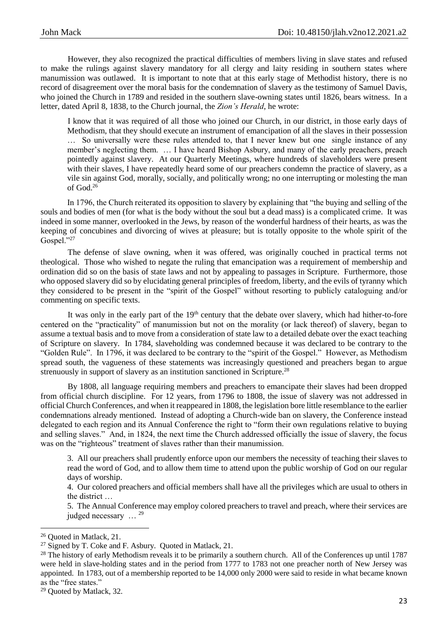However, they also recognized the practical difficulties of members living in slave states and refused to make the rulings against slavery mandatory for all clergy and laity residing in southern states where manumission was outlawed. It is important to note that at this early stage of Methodist history, there is no record of disagreement over the moral basis for the condemnation of slavery as the testimony of Samuel Davis, who joined the Church in 1789 and resided in the southern slave-owning states until 1826, bears witness. In a letter, dated April 8, 1838, to the Church journal, the *Zion's Herald*, he wrote:

I know that it was required of all those who joined our Church, in our district, in those early days of Methodism, that they should execute an instrument of emancipation of all the slaves in their possession … So universally were these rules attended to, that I never knew but one single instance of any member's neglecting them. … I have heard Bishop Asbury, and many of the early preachers, preach pointedly against slavery. At our Quarterly Meetings, where hundreds of slaveholders were present with their slaves, I have repeatedly heard some of our preachers condemn the practice of slavery, as a vile sin against God, morally, socially, and politically wrong; no one interrupting or molesting the man of God.<sup>26</sup>

In 1796, the Church reiterated its opposition to slavery by explaining that "the buying and selling of the souls and bodies of men (for what is the body without the soul but a dead mass) is a complicated crime. It was indeed in some manner, overlooked in the Jews, by reason of the wonderful hardness of their hearts, as was the keeping of concubines and divorcing of wives at pleasure; but is totally opposite to the whole spirit of the Gospel."27

The defense of slave owning, when it was offered, was originally couched in practical terms not theological. Those who wished to negate the ruling that emancipation was a requirement of membership and ordination did so on the basis of state laws and not by appealing to passages in Scripture. Furthermore, those who opposed slavery did so by elucidating general principles of freedom, liberty, and the evils of tyranny which they considered to be present in the "spirit of the Gospel" without resorting to publicly cataloguing and/or commenting on specific texts.

It was only in the early part of the  $19<sup>th</sup>$  century that the debate over slavery, which had hither-to-fore centered on the "practicality" of manumission but not on the morality (or lack thereof) of slavery, began to assume a textual basis and to move from a consideration of state law to a detailed debate over the exact teaching of Scripture on slavery. In 1784, slaveholding was condemned because it was declared to be contrary to the "Golden Rule". In 1796, it was declared to be contrary to the "spirit of the Gospel." However, as Methodism spread south, the vagueness of these statements was increasingly questioned and preachers began to argue strenuously in support of slavery as an institution sanctioned in Scripture.<sup>28</sup>

By 1808, all language requiring members and preachers to emancipate their slaves had been dropped from official church discipline. For 12 years, from 1796 to 1808, the issue of slavery was not addressed in official Church Conferences, and when it reappeared in 1808, the legislation bore little resemblance to the earlier condemnations already mentioned. Instead of adopting a Church-wide ban on slavery, the Conference instead delegated to each region and its Annual Conference the right to "form their own regulations relative to buying and selling slaves." And, in 1824, the next time the Church addressed officially the issue of slavery, the focus was on the "righteous" treatment of slaves rather than their manumission.

3. All our preachers shall prudently enforce upon our members the necessity of teaching their slaves to read the word of God, and to allow them time to attend upon the public worship of God on our regular days of worship.

4. Our colored preachers and official members shall have all the privileges which are usual to others in the district …

5. The Annual Conference may employ colored preachers to travel and preach, where their services are judged necessary ... <sup>29</sup>

<sup>26</sup> Quoted in Matlack, 21.

<sup>27</sup> Signed by T. Coke and F. Asbury. Quoted in Matlack, 21.

 $28$  The history of early Methodism reveals it to be primarily a southern church. All of the Conferences up until 1787 were held in slave-holding states and in the period from 1777 to 1783 not one preacher north of New Jersey was appointed. In 1783, out of a membership reported to be 14,000 only 2000 were said to reside in what became known as the "free states."

<sup>29</sup> Quoted by Matlack, 32.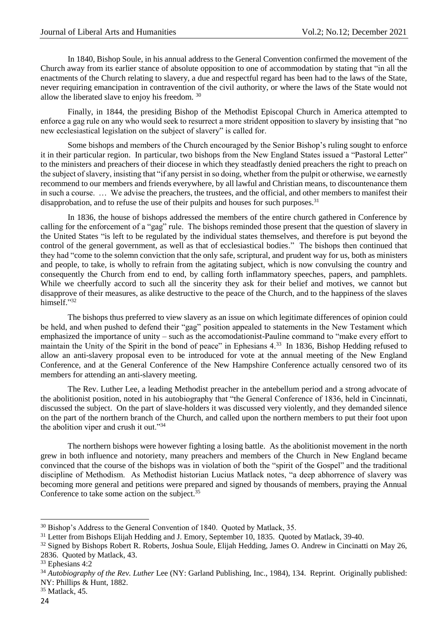In 1840, Bishop Soule, in his annual address to the General Convention confirmed the movement of the Church away from its earlier stance of absolute opposition to one of accommodation by stating that "in all the enactments of the Church relating to slavery, a due and respectful regard has been had to the laws of the State, never requiring emancipation in contravention of the civil authority, or where the laws of the State would not allow the liberated slave to enjoy his freedom. <sup>30</sup>

Finally, in 1844, the presiding Bishop of the Methodist Episcopal Church in America attempted to enforce a gag rule on any who would seek to resurrect a more strident opposition to slavery by insisting that "no new ecclesiastical legislation on the subject of slavery" is called for.

Some bishops and members of the Church encouraged by the Senior Bishop's ruling sought to enforce it in their particular region. In particular, two bishops from the New England States issued a "Pastoral Letter" to the ministers and preachers of their diocese in which they steadfastly denied preachers the right to preach on the subject of slavery, insisting that "if any persist in so doing, whether from the pulpit or otherwise, we earnestly recommend to our members and friends everywhere, by all lawful and Christian means, to discountenance them in such a course. … We advise the preachers, the trustees, and the official, and other members to manifest their disapprobation, and to refuse the use of their pulpits and houses for such purposes. $31$ 

In 1836, the house of bishops addressed the members of the entire church gathered in Conference by calling for the enforcement of a "gag" rule. The bishops reminded those present that the question of slavery in the United States "is left to be regulated by the individual states themselves, and therefore is put beyond the control of the general government, as well as that of ecclesiastical bodies." The bishops then continued that they had "come to the solemn conviction that the only safe, scriptural, and prudent way for us, both as ministers and people, to take, is wholly to refrain from the agitating subject, which is now convulsing the country and consequently the Church from end to end, by calling forth inflammatory speeches, papers, and pamphlets. While we cheerfully accord to such all the sincerity they ask for their belief and motives, we cannot but disapprove of their measures, as alike destructive to the peace of the Church, and to the happiness of the slaves himself."32

The bishops thus preferred to view slavery as an issue on which legitimate differences of opinion could be held, and when pushed to defend their "gag" position appealed to statements in the New Testament which emphasized the importance of unity – such as the accomodationist-Pauline command to "make every effort to maintain the Unity of the Spirit in the bond of peace" in Ephesians 4.<sup>33</sup> In 1836, Bishop Hedding refused to allow an anti-slavery proposal even to be introduced for vote at the annual meeting of the New England Conference, and at the General Conference of the New Hampshire Conference actually censored two of its members for attending an anti-slavery meeting.

The Rev. Luther Lee, a leading Methodist preacher in the antebellum period and a strong advocate of the abolitionist position, noted in his autobiography that "the General Conference of 1836, held in Cincinnati, discussed the subject. On the part of slave-holders it was discussed very violently, and they demanded silence on the part of the northern branch of the Church, and called upon the northern members to put their foot upon the abolition viper and crush it out."<sup>34</sup>

The northern bishops were however fighting a losing battle. As the abolitionist movement in the north grew in both influence and notoriety, many preachers and members of the Church in New England became convinced that the course of the bishops was in violation of both the "spirit of the Gospel" and the traditional discipline of Methodism. As Methodist historian Lucius Matlack notes, "a deep abhorrence of slavery was becoming more general and petitions were prepared and signed by thousands of members, praying the Annual Conference to take some action on the subject. $35$ 

<sup>&</sup>lt;sup>30</sup> Bishop's Address to the General Convention of 1840. Ouoted by Matlack, 35.

<sup>31</sup> Letter from Bishops Elijah Hedding and J. Emory, September 10, 1835. Quoted by Matlack, 39-40.

<sup>&</sup>lt;sup>32</sup> Signed by Bishops Robert R. Roberts, Joshua Soule, Elijah Hedding, James O. Andrew in Cincinatti on May 26, 2836. Quoted by Matlack, 43.

<sup>33</sup> Ephesians 4:2

<sup>&</sup>lt;sup>34</sup> *Autobiography of the Rev. Luther* Lee (NY: Garland Publishing, Inc., 1984), 134. Reprint. Originally published: NY: Phillips & Hunt, 1882.

<sup>35</sup> Matlack, 45.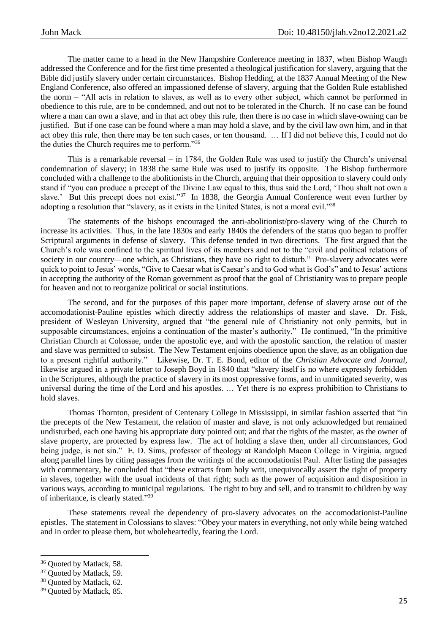The matter came to a head in the New Hampshire Conference meeting in 1837, when Bishop Waugh addressed the Conference and for the first time presented a theological justification for slavery, arguing that the Bible did justify slavery under certain circumstances. Bishop Hedding, at the 1837 Annual Meeting of the New England Conference, also offered an impassioned defense of slavery, arguing that the Golden Rule established the norm – "All acts in relation to slaves, as well as to every other subject, which cannot be performed in obedience to this rule, are to be condemned, and out not to be tolerated in the Church. If no case can be found where a man can own a slave, and in that act obey this rule, then there is no case in which slave-owning can be justified. But if one case can be found where a man may hold a slave, and by the civil law own him, and in that act obey this rule, then there may be ten such cases, or ten thousand. … If I did not believe this, I could not do the duties the Church requires me to perform."<sup>36</sup>

This is a remarkable reversal – in 1784, the Golden Rule was used to justify the Church's universal condemnation of slavery; in 1838 the same Rule was used to justify its opposite. The Bishop furthermore concluded with a challenge to the abolitionists in the Church, arguing that their opposition to slavery could only stand if "you can produce a precept of the Divine Law equal to this, thus said the Lord, 'Thou shalt not own a slave.' But this precept does not exist."<sup>37</sup> In 1838, the Georgia Annual Conference went even further by adopting a resolution that "slavery, as it exists in the United States, is not a moral evil."<sup>38</sup>

The statements of the bishops encouraged the anti-abolitionist/pro-slavery wing of the Church to increase its activities. Thus, in the late 1830s and early 1840s the defenders of the status quo began to proffer Scriptural arguments in defense of slavery. This defense tended in two directions. The first argued that the Church's role was confined to the spiritual lives of its members and not to the "civil and political relations of society in our country—one which, as Christians, they have no right to disturb." Pro-slavery advocates were quick to point to Jesus' words, "Give to Caesar what is Caesar's and to God what is God's" and to Jesus' actions in accepting the authority of the Roman government as proof that the goal of Christianity was to prepare people for heaven and not to reorganize political or social institutions.

The second, and for the purposes of this paper more important, defense of slavery arose out of the accomodationist-Pauline epistles which directly address the relationships of master and slave. Dr. Fisk, president of Wesleyan University, argued that "the general rule of Christianity not only permits, but in supposable circumstances, enjoins a continuation of the master's authority." He continued, "In the primitive Christian Church at Colossae, under the apostolic eye, and with the apostolic sanction, the relation of master and slave was permitted to subsist. The New Testament enjoins obedience upon the slave, as an obligation due to a present rightful authority." Likewise, Dr. T. E. Bond, editor of the *Christian Advocate and Journal*, likewise argued in a private letter to Joseph Boyd in 1840 that "slavery itself is no where expressly forbidden in the Scriptures, although the practice of slavery in its most oppressive forms, and in unmitigated severity, was universal during the time of the Lord and his apostles. … Yet there is no express prohibition to Christians to hold slaves.

Thomas Thornton, president of Centenary College in Mississippi, in similar fashion asserted that "in the precepts of the New Testament, the relation of master and slave, is not only acknowledged but remained undisturbed, each one having his appropriate duty pointed out; and that the rights of the master, as the owner of slave property, are protected by express law. The act of holding a slave then, under all circumstances, God being judge, is not sin." E. D. Sims, professor of theology at Randolph Macon College in Virginia, argued along parallel lines by citing passages from the writings of the accomodationist Paul. After listing the passages with commentary, he concluded that "these extracts from holy writ, unequivocally assert the right of property in slaves, together with the usual incidents of that right; such as the power of acquisition and disposition in various ways, according to municipal regulations. The right to buy and sell, and to transmit to children by way of inheritance, is clearly stated." 39

These statements reveal the dependency of pro-slavery advocates on the accomodationist-Pauline epistles. The statement in Colossians to slaves: "Obey your maters in everything, not only while being watched and in order to please them, but wholeheartedly, fearing the Lord.

<sup>&</sup>lt;sup>36</sup> Ouoted by Matlack, 58.

<sup>&</sup>lt;sup>37</sup> Ouoted by Matlack, 59.

<sup>&</sup>lt;sup>38</sup> Ouoted by Matlack, 62.

<sup>39</sup> Quoted by Matlack, 85.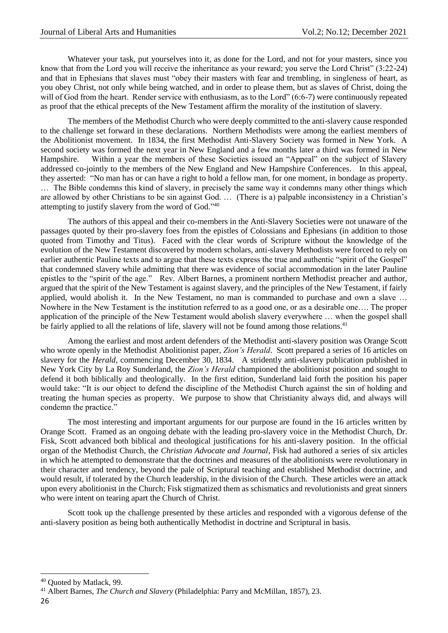Whatever your task, put yourselves into it, as done for the Lord, and not for your masters, since you know that from the Lord you will receive the inheritance as your reward; you serve the Lord Christ" (3:22-24) and that in Ephesians that slaves must "obey their masters with fear and trembling, in singleness of heart, as you obey Christ, not only while being watched, and in order to please them, but as slaves of Christ, doing the will of God from the heart. Render service with enthusiasm, as to the Lord" (6:6-7) were continuously repeated as proof that the ethical precepts of the New Testament affirm the morality of the institution of slavery.

The members of the Methodist Church who were deeply committed to the anti-slavery cause responded to the challenge set forward in these declarations. Northern Methodists were among the earliest members of the Abolitionist movement. In 1834, the first Methodist Anti-Slavery Society was formed in New York. A second society was formed the next year in New England and a few months later a third was formed in New Hampshire. Within a year the members of these Societies issued an "Appeal" on the subject of Slavery addressed co-jointly to the members of the New England and New Hampshire Conferences. In this appeal, they asserted: "No man has or can have a right to hold a fellow man, for one moment, in bondage as property. … The Bible condemns this kind of slavery, in precisely the same way it condemns many other things which are allowed by other Christians to be sin against God. … (There is a) palpable inconsistency in a Christian's attempting to justify slavery from the word of God."<sup>40</sup>

The authors of this appeal and their co-members in the Anti-Slavery Societies were not unaware of the passages quoted by their pro-slavery foes from the epistles of Colossians and Ephesians (in addition to those quoted from Timothy and Titus). Faced with the clear words of Scripture without the knowledge of the evolution of the New Testament discovered by modern scholars, anti-slavery Methodists were forced to rely on earlier authentic Pauline texts and to argue that these texts express the true and authentic "spirit of the Gospel" that condemned slavery while admitting that there was evidence of social accommodation in the later Pauline epistles to the "spirit of the age." Rev. Albert Barnes, a prominent northern Methodist preacher and author, argued that the spirit of the New Testament is against slavery, and the principles of the New Testament, if fairly applied, would abolish it. In the New Testament, no man is commanded to purchase and own a slave … Nowhere in the New Testament is the institution referred to as a good one, or as a desirable one…. The proper application of the principle of the New Testament would abolish slavery everywhere … when the gospel shall be fairly applied to all the relations of life, slavery will not be found among those relations.<sup>41</sup>

Among the earliest and most ardent defenders of the Methodist anti-slavery position was Orange Scott who wrote openly in the Methodist Abolitionist paper, *Zion's Herald*. Scott prepared a series of 16 articles on slavery for the *Herald*, commencing December 30, 1834. A stridently anti-slavery publication published in New York City by La Roy Sunderland, the *Zion's Herald* championed the abolitionist position and sought to defend it both biblically and theologically. In the first edition, Sunderland laid forth the position his paper would take: "It is our object to defend the discipline of the Methodist Church against the sin of holding and treating the human species as property. We purpose to show that Christianity always did, and always will condemn the practice."

The most interesting and important arguments for our purpose are found in the 16 articles written by Orange Scott. Framed as an ongoing debate with the leading pro-slavery voice in the Methodist Church, Dr. Fisk, Scott advanced both biblical and theological justifications for his anti-slavery position. In the official organ of the Methodist Church, the *Christian Advocate and Journal*, Fisk had authored a series of six articles in which he attempted to demonstrate that the doctrines and measures of the abolitionists were revolutionary in their character and tendency, beyond the pale of Scriptural teaching and established Methodist doctrine, and would result, if tolerated by the Church leadership, in the division of the Church. These articles were an attack upon every abolitionist in the Church; Fisk stigmatized them as schismatics and revolutionists and great sinners who were intent on tearing apart the Church of Christ.

Scott took up the challenge presented by these articles and responded with a vigorous defense of the anti-slavery position as being both authentically Methodist in doctrine and Scriptural in basis.

<sup>40</sup> Quoted by Matlack, 99.

<sup>41</sup> Albert Barnes, *The Church and Slavery* (Philadelphia: Parry and McMillan, 1857), 23.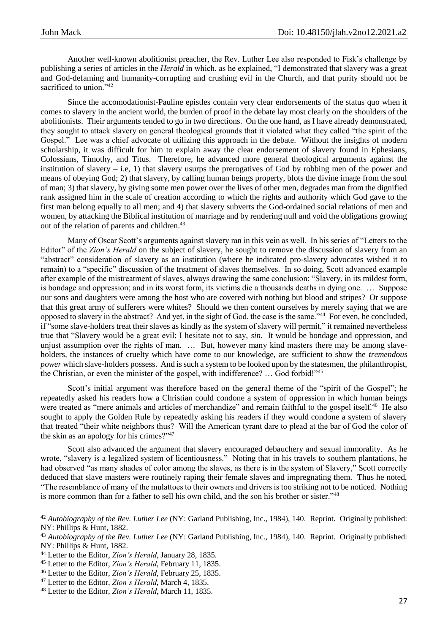Another well-known abolitionist preacher, the Rev. Luther Lee also responded to Fisk's challenge by publishing a series of articles in the *Herald* in which, as he explained, "I demonstrated that slavery was a great and God-defaming and humanity-corrupting and crushing evil in the Church, and that purity should not be sacrificed to union."<sup>42</sup>

Since the accomodationist-Pauline epistles contain very clear endorsements of the status quo when it comes to slavery in the ancient world, the burden of proof in the debate lay most clearly on the shoulders of the abolitionists. Their arguments tended to go in two directions. On the one hand, as I have already demonstrated, they sought to attack slavery on general theological grounds that it violated what they called "the spirit of the Gospel." Lee was a chief advocate of utilizing this approach in the debate. Without the insights of modern scholarship, it was difficult for him to explain away the clear endorsement of slavery found in Ephesians, Colossians, Timothy, and Titus. Therefore, he advanced more general theological arguments against the institution of slavery – i.e, 1) that slavery usurps the prerogatives of God by robbing men of the power and means of obeying God; 2) that slavery, by calling human beings property, blots the divine image from the soul of man; 3) that slavery, by giving some men power over the lives of other men, degrades man from the dignified rank assigned him in the scale of creation according to which the rights and authority which God gave to the first man belong equally to all men; and 4) that slavery subverts the God-ordained social relations of men and women, by attacking the Biblical institution of marriage and by rendering null and void the obligations growing out of the relation of parents and children.<sup>43</sup>

Many of Oscar Scott's arguments against slavery ran in this vein as well. In his series of "Letters to the Editor" of the *Zion's Herald* on the subject of slavery, he sought to remove the discussion of slavery from an "abstract" consideration of slavery as an institution (where he indicated pro-slavery advocates wished it to remain) to a "specific" discussion of the treatment of slaves themselves. In so doing, Scott advanced example after example of the mistreatment of slaves, always drawing the same conclusion: "Slavery, in its mildest form, is bondage and oppression; and in its worst form, its victims die a thousands deaths in dying one. … Suppose our sons and daughters were among the host who are covered with nothing but blood and stripes? Or suppose that this great army of sufferers were whites? Should we then content ourselves by merely saying that we are opposed to slavery in the abstract? And yet, in the sight of God, the case is the same."<sup>44</sup> For even, he concluded, if "some slave-holders treat their slaves as kindly as the system of slavery will permit," it remained nevertheless true that "Slavery would be a great evil; I hesitate not to say, *sin*. It would be bondage and oppression, and unjust assumption over the rights of man. ... But, however many kind masters there may be among slaveholders, the instances of cruelty which have come to our knowledge, are sufficient to show the *tremendous power* which slave-holders possess. And is such a system to be looked upon by the statesmen, the philanthropist, the Christian, or even the minister of the gospel, with indifference? ... God forbid!"<sup>45</sup>

Scott's initial argument was therefore based on the general theme of the "spirit of the Gospel"; he repeatedly asked his readers how a Christian could condone a system of oppression in which human beings were treated as "mere animals and articles of merchandize" and remain faithful to the gospel itself.<sup>46</sup> He also sought to apply the Golden Rule by repeatedly asking his readers if they would condone a system of slavery that treated "their white neighbors thus? Will the American tyrant dare to plead at the bar of God the color of the skin as an apology for his crimes?"<sup>47</sup>

Scott also advanced the argument that slavery encouraged debauchery and sexual immorality. As he wrote, "slavery is a legalized system of licentiousness." Noting that in his travels to southern plantations, he had observed "as many shades of color among the slaves, as there is in the system of Slavery," Scott correctly deduced that slave masters were routinely raping their female slaves and impregnating them. Thus he noted, "The resemblance of many of the mulattoes to their owners and drivers is too striking not to be noticed. Nothing is more common than for a father to sell his own child, and the son his brother or sister."<sup>48</sup>

 $\overline{a}$ 

<sup>42</sup> *Autobiography of the Rev. Luther Lee* (NY: Garland Publishing, Inc., 1984), 140. Reprint. Originally published: NY: Phillips & Hunt, 1882.

<sup>43</sup> *Autobiography of the Rev. Luther Lee* (NY: Garland Publishing, Inc., 1984), 140. Reprint. Originally published: NY: Phillips & Hunt, 1882.

<sup>44</sup> Letter to the Editor, *Zion's Herald*, January 28, 1835.

<sup>45</sup> Letter to the Editor, *Zion's Herald*, February 11, 1835.

<sup>46</sup> Letter to the Editor, *Zion's Herald*, February 25, 1835.

<sup>47</sup> Letter to the Editor, *Zion's Herald*, March 4, 1835.

<sup>48</sup> Letter to the Editor, *Zion's Herald*, March 11, 1835.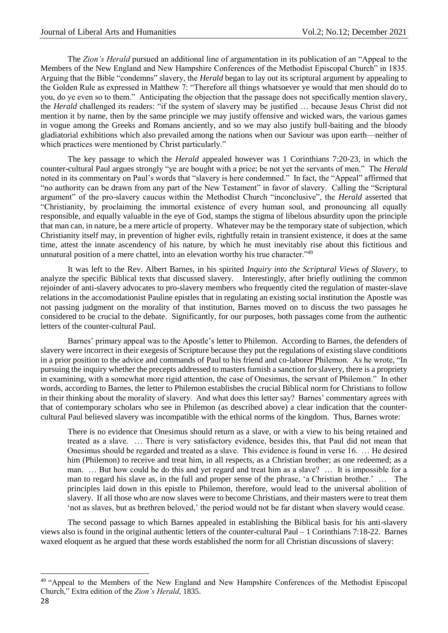The *Zion's Herald* pursued an additional line of argumentation in its publication of an "Appeal to the Members of the New England and New Hampshire Conferences of the Methodist Episcopal Church" in 1835. Arguing that the Bible "condemns" slavery, the *Herald* began to lay out its scriptural argument by appealing to the Golden Rule as expressed in Matthew 7: "Therefore all things whatsoever ye would that men should do to you, do ye even so to them." Anticipating the objection that the passage does not specifically mention slavery, the *Herald* challenged its readers: "if the system of slavery may be justified … because Jesus Christ did not mention it by name, then by the same principle we may justify offensive and wicked wars, the various games in vogue among the Greeks and Romans anciently, and so we may also justify bull-baiting and the bloody gladiatorial exhibitions which also prevailed among the nations when our Saviour was upon earth—neither of which practices were mentioned by Christ particularly."

The key passage to which the *Herald* appealed however was 1 Corinthians 7:20-23, in which the counter-cultural Paul argues strongly "ye are bought with a price; be not yet the servants of men." The *Herald* noted in its commentary on Paul's words that "slavery is here condemned." In fact, the "Appeal" affirmed that "no authority can be drawn from any part of the New Testament" in favor of slavery. Calling the "Scriptural argument" of the pro-slavery caucus within the Methodist Church "inconclusive", the *Herald* asserted that "Christianity, by proclaiming the immortal existence of every human soul, and pronouncing all equally responsible, and equally valuable in the eye of God, stamps the stigma of libelous absurdity upon the principle that man can, in nature, be a mere article of property. Whatever may be the temporary state of subjection, which Christianity itself may, in prevention of higher evils, rightfully retain in transient existence, it does at the same time, attest the innate ascendency of his nature, by which he must inevitably rise about this fictitious and unnatural position of a mere chattel, into an elevation worthy his true character."<sup>49</sup>

It was left to the Rev. Albert Barnes, in his spirited *Inquiry into the Scriptural Views of Slavery*, to analyze the specific Biblical texts that discussed slavery. Interestingly, after briefly outlining the common rejoinder of anti-slavery advocates to pro-slavery members who frequently cited the regulation of master-slave relations in the accomodationist Pauline epistles that in regulating an existing social institution the Apostle was not passing judgment on the morality of that institution, Barnes moved on to discuss the two passages he considered to be crucial to the debate. Significantly, for our purposes, both passages come from the authentic letters of the counter-cultural Paul.

Barnes' primary appeal was to the Apostle's letter to Philemon. According to Barnes, the defenders of slavery were incorrect in their exegesis of Scripture because they put the regulations of existing slave conditions in a prior position to the advice and commands of Paul to his friend and co-laborer Philemon. As he wrote, "In pursuing the inquiry whether the precepts addressed to masters furnish a sanction for slavery, there is a propriety in examining, with a somewhat more rigid attention, the case of Onesimus, the servant of Philemon." In other words, according to Barnes, the letter to Philemon establishes the crucial Biblical norm for Christians to follow in their thinking about the morality of slavery. And what does this letter say? Barnes' commentary agrees with that of contemporary scholars who see in Philemon (as described above) a clear indication that the countercultural Paul believed slavery was incompatible with the ethical norms of the kingdom. Thus, Barnes wrote:

There is no evidence that Onesimus should return as a slave, or with a view to his being retained and treated as a slave. … There is very satisfactory evidence, besides this, that Paul did not mean that Onesimus should be regarded and treated as a slave. This evidence is found in verse 16. … He desired him (Philemon) to receive and treat him, in all respects, as a Christian brother; as one redeemed; as a man. … But how could he do this and yet regard and treat him as a slave? … It is impossible for a man to regard his slave as, in the full and proper sense of the phrase, 'a Christian brother.' … The principles laid down in this epistle to Philemon, therefore, would lead to the universal abolition of slavery. If all those who are now slaves were to become Christians, and their masters were to treat them 'not as slaves, but as brethren beloved,' the period would not be far distant when slavery would cease.

The second passage to which Barnes appealed in establishing the Biblical basis for his anti-slavery views also is found in the original authentic letters of the counter-cultural Paul – 1 Corinthians 7:18-22. Barnes waxed eloquent as he argued that these words established the norm for all Christian discussions of slavery:

<sup>&</sup>lt;sup>49</sup> "Appeal to the Members of the New England and New Hampshire Conferences of the Methodist Episcopal Church," Extra edition of the *Zion's Herald*, 1835.